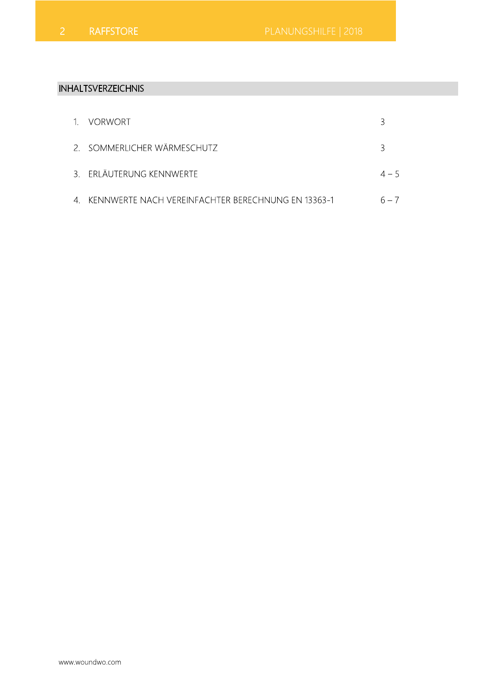# **INHALTSVERZEICHNIS**

| 1. VORWORT                                            |         |
|-------------------------------------------------------|---------|
| 2. SOMMERLICHER WÄRMESCHUTZ                           | २       |
| 3. ERLÄUTERUNG KENNWERTE                              | $4 - 5$ |
| 4. KENNWERTE NACH VEREINFACHTER BERECHNUNG EN 13363-1 |         |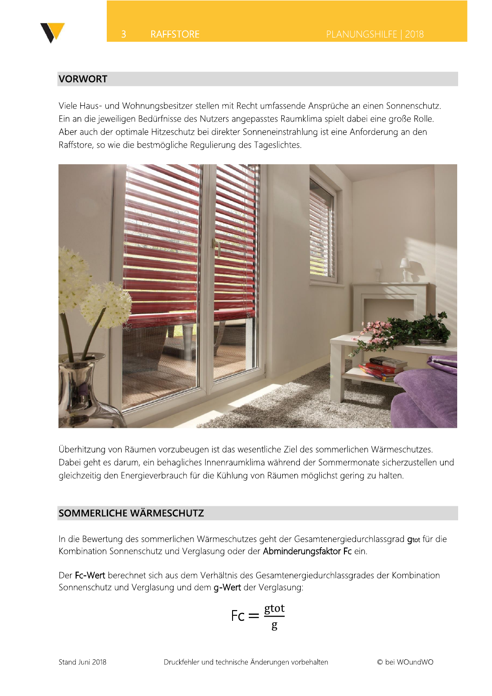

#### **VORWORT**

Viele Haus- und Wohnungsbesitzer stellen mit Recht umfassende Ansprüche an einen Sonnenschutz. Ein an die jeweiligen Bedürfnisse des Nutzers angepasstes Raumklima spielt dabei eine große Rolle. Aber auch der optimale Hitzeschutz bei direkter Sonneneinstrahlung ist eine Anforderung an den Raffstore, so wie die bestmögliche Regulierung des Tageslichtes.



Überhitzung von Räumen vorzubeugen ist das wesentliche Ziel des sommerlichen Wärmeschutzes. Dabei geht es darum, ein behagliches Innenraumklima während der Sommermonate sicherzustellen und gleichzeitig den Energieverbrauch für die Kühlung von Räumen möglichst gering zu halten.

### SOMMERLICHE WÄRMESCHUTZ

In die Bewertung des sommerlichen Wärmeschutzes geht der Gesamtenergiedurchlassgrad qtot für die Kombination Sonnenschutz und Verglasung oder der Abminderungsfaktor Fc ein.

Der Fc-Wert berechnet sich aus dem Verhältnis des Gesamtenergiedurchlassgrades der Kombination Sonnenschutz und Verglasung und dem g-Wert der Verglasung:

$$
\mathsf{Fc}=\frac{\mathrm{gtot}}{\mathrm{g}}
$$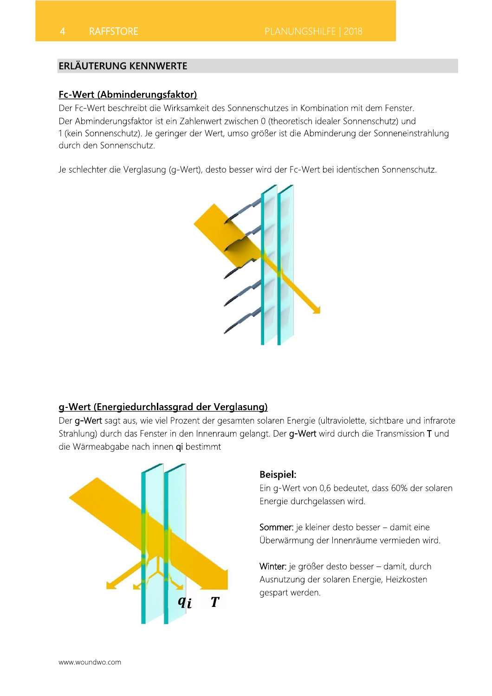### **ERLÄUTERUNG KENNWERTE**

#### Fc-Wert (Abminderungsfaktor)

Der Fc-Wert beschreibt die Wirksamkeit des Sonnenschutzes in Kombination mit dem Fenster. Der Abminderungsfaktor ist ein Zahlenwert zwischen 0 (theoretisch idealer Sonnenschutz) und 1 (kein Sonnenschutz). Je geringer der Wert, umso größer ist die Abminderung der Sonneneinstrahlung durch den Sonnenschutz.

Je schlechter die Verglasung (g-Wert), desto besser wird der Fc-Wert bei identischen Sonnenschutz.



#### g-Wert (Energiedurchlassgrad der Verglasung)

Der g-Wert sagt aus, wie viel Prozent der gesamten solaren Energie (ultraviolette, sichtbare und infrarote Strahlung) durch das Fenster in den Innenraum gelangt. Der g-Wert wird durch die Transmission T und die Wärmeabgabe nach innen qi bestimmt



#### **Beispiel:**

Ein g-Wert von 0,6 bedeutet, dass 60% der solaren Energie durchgelassen wird.

Sommer: je kleiner desto besser - damit eine Überwärmung der Innenräume vermieden wird.

Winter: je größer desto besser - damit, durch Ausnutzung der solaren Energie, Heizkosten gespart werden.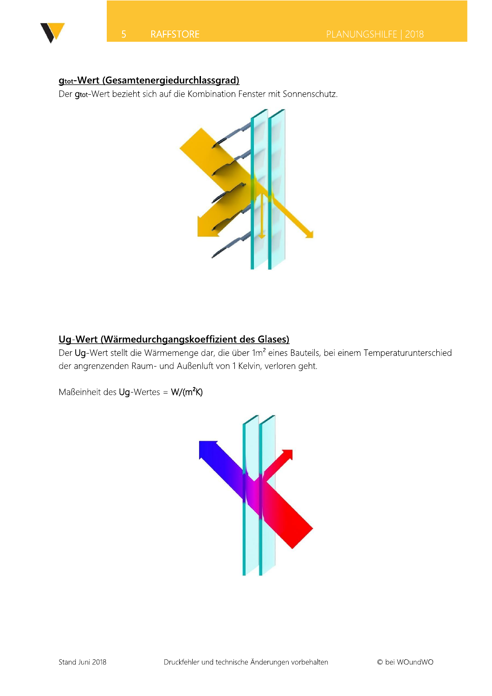

# **gtot-Wert (Gesamtenergiedurchlassgrad)**

Der gtot-Wert bezieht sich auf die Kombination Fenster mit Sonnenschutz.



# Ug-Wert (Wärmedurchgangskoeffizient des Glases)

Der Ug-Wert stellt die Wärmemenge dar, die über 1m<sup>2</sup> eines Bauteils, bei einem Temperaturunterschied der angrenzenden Raum- und Außenluft von 1 Kelvin, verloren geht.

Maßeinheit des Ug-Wertes = W/(m<sup>2</sup>K)

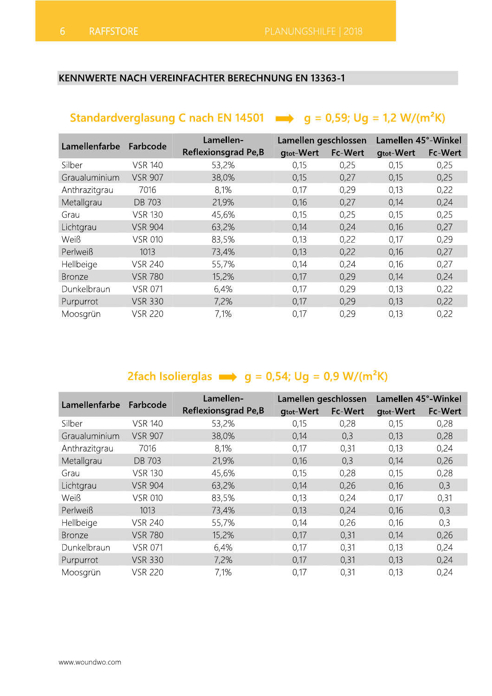# KENNWERTE NACH VEREINFACHTER BERECHNUNG EN 13363-1

| 6<br><b>RAFFSTORE</b> |                |                                                                                       | PLANUNGSHILFE   2018     |                 |                          |                 |
|-----------------------|----------------|---------------------------------------------------------------------------------------|--------------------------|-----------------|--------------------------|-----------------|
|                       |                |                                                                                       |                          |                 |                          |                 |
|                       |                |                                                                                       |                          |                 |                          |                 |
|                       |                | <b>KENNWERTE NACH VEREINFACHTER BERECHNUNG EN 13363-1</b>                             |                          |                 |                          |                 |
|                       |                |                                                                                       |                          |                 |                          |                 |
|                       |                |                                                                                       |                          |                 |                          |                 |
|                       |                | Standardverglasung C nach EN 14501 $\implies$ g = 0,59; Ug = 1,2 W/(m <sup>2</sup> K) |                          |                 |                          |                 |
|                       |                |                                                                                       |                          |                 |                          |                 |
| Lamellenfarbe         | Farbcode       | Lamellen-                                                                             | Lamellen geschlossen     |                 | Lamellen 45°-Winkel      |                 |
| Silber                | <b>VSR 140</b> | <b>Reflexionsgrad Pe,B</b><br>53,2%                                                   | <b>gtot-Wert</b><br>0,15 | Fc-Wert<br>0,25 | <b>gtot-Wert</b><br>0,15 | Fc-Wert<br>0,25 |
| Graualuminium         | <b>VSR 907</b> | 38,0%                                                                                 | 0,15                     | 0,27            | 0,15                     | 0,25            |
|                       |                |                                                                                       |                          |                 |                          |                 |
|                       |                |                                                                                       |                          |                 |                          |                 |
| Anthrazitgrau         | 7016           | 8,1%                                                                                  | 0,17                     | 0,29            | 0,13                     | 0,22            |
| Metallgrau            | <b>DB 703</b>  | 21,9%                                                                                 | 0,16                     | 0,27            | 0,14                     | 0,24            |
| Grau                  | <b>VSR 130</b> | 45,6%                                                                                 | 0,15                     | 0,25            | 0,15                     | 0,25            |
| Lichtgrau             | <b>VSR 904</b> | 63,2%                                                                                 | 0,14                     | 0,24            | 0,16                     | 0,27            |
| Weiß                  | <b>VSR 010</b> | 83,5%                                                                                 | 0,13                     | 0,22            | 0,17                     | 0,29            |
| Perlweiß              | 1013           | 73,4%                                                                                 | 0,13                     | 0,22            | 0,16                     | 0,27            |
| Hellbeige             | <b>VSR 240</b> | 55,7%                                                                                 | 0,14                     | 0,24            | 0,16                     | 0,27            |
| <b>Bronze</b>         | <b>VSR 780</b> | 15,2%                                                                                 | 0,17                     | 0,29            | 0,14                     | 0,24            |
| Dunkelbraun           | <b>VSR 071</b> | 6,4%                                                                                  | 0,17                     | 0,29            | 0,13                     | 0,22            |
| Purpurrot             | <b>VSR 330</b> | 7,2%                                                                                  | 0,17                     | 0,29            | 0,13                     | 0,22            |

| nelineide     | V JN 440       | JJ,170                                                                  | V, 14                | V,Z4    | U, IU               | U, Z I  |
|---------------|----------------|-------------------------------------------------------------------------|----------------------|---------|---------------------|---------|
| <b>Bronze</b> | <b>VSR 780</b> | 15,2%                                                                   | 0,17                 | 0,29    | 0,14                | 0,24    |
| Dunkelbraun   | <b>VSR 071</b> | 6,4%                                                                    | 0,17                 | 0,29    | 0,13                | 0,22    |
| Purpurrot     | <b>VSR 330</b> | 7,2%                                                                    | 0,17                 | 0,29    | 0,13                | 0,22    |
| Moosgrün      | <b>VSR 220</b> | 7,1%                                                                    | 0,17                 | 0,29    | 0,13                | 0,22    |
|               |                |                                                                         |                      |         |                     |         |
|               |                | 2fach Isolierglas $\Rightarrow$ g = 0,54; Ug = 0,9 W/(m <sup>2</sup> K) |                      |         |                     |         |
| Lamellenfarbe | Farbcode       | Lamellen-                                                               | Lamellen geschlossen |         | Lamellen 45°-Winkel |         |
|               |                | <b>Reflexionsgrad Pe,B</b>                                              | <b>gtot-Wert</b>     | Fc-Wert | <b>gtot-Wert</b>    | Fc-Wert |
| Silber        | <b>VSR 140</b> | 53,2%                                                                   | 0,15                 | 0,28    | 0,15                | 0,28    |
| Graualuminium | <b>VSR 907</b> | 38,0%                                                                   | 0,14                 | 0,3     | 0,13                | 0,28    |
| Anthrazitgrau | 7016           | 8,1%                                                                    | 0,17                 | 0,31    | 0,13                | 0,24    |
|               |                |                                                                         |                      |         |                     |         |
| Metallgrau    | DB 703         | 21,9%                                                                   | 0,16                 | 0,3     | 0,14                | 0,26    |
| Grau          | <b>VSR 130</b> | 45,6%                                                                   | 0,15                 | 0,28    | 0,15                | 0,28    |
| Lichtgrau     | <b>VSR 904</b> | 63,2%                                                                   | 0,14                 | 0,26    | 0,16                | 0,3     |
| Weiß          | <b>VSR 010</b> | 83,5%                                                                   | 0,13                 | 0,24    | 0,17                | 0,31    |
| Perlweiß      | 1013           | 73,4%                                                                   | 0,13                 | 0,24    | 0,16                | 0,3     |
| Hellbeige     | <b>VSR 240</b> | 55,7%                                                                   | 0,14                 | 0,26    | 0,16                | 0,3     |
| <b>Bronze</b> | <b>VSR 780</b> | 15,2%                                                                   | 0,17                 | 0,31    | 0,14                | 0,26    |
| Dunkelbraun   | <b>VSR 071</b> | 6,4%                                                                    | 0,17                 | 0,31    | 0,13                | 0,24    |
| Purpurrot     | <b>VSR 330</b> | 7,2%                                                                    | 0,17                 | 0,31    | 0,13                | 0,24    |